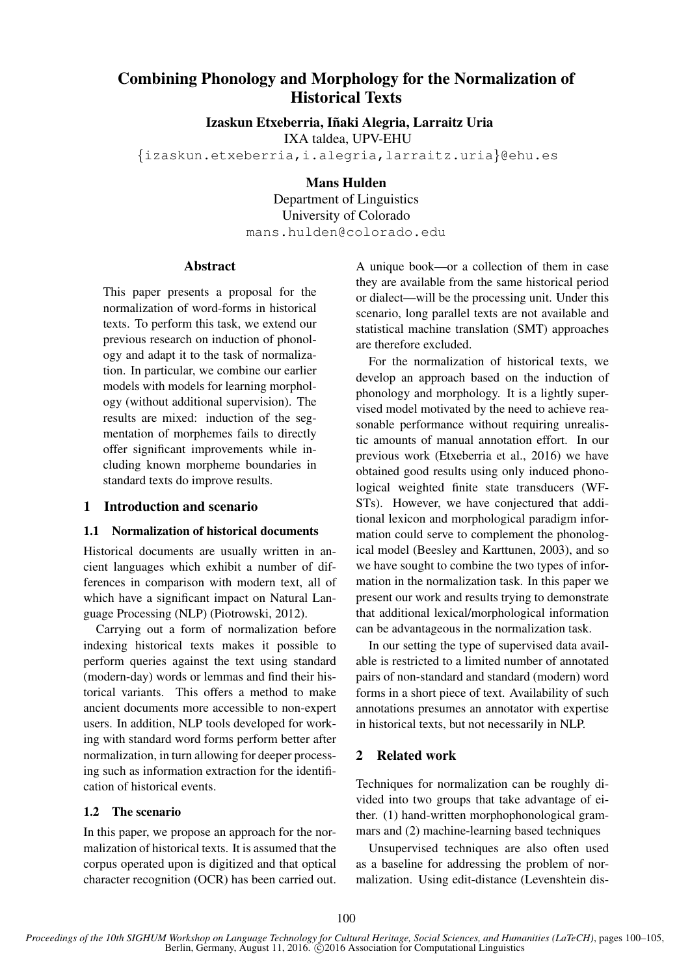# Combining Phonology and Morphology for the Normalization of Historical Texts

Izaskun Etxeberria, Iñaki Alegria, Larraitz Uria

IXA taldea, UPV-EHU

{izaskun.etxeberria,i.alegria,larraitz.uria}@ehu.es

Mans Hulden

Department of Linguistics University of Colorado mans.hulden@colorado.edu

#### Abstract

This paper presents a proposal for the normalization of word-forms in historical texts. To perform this task, we extend our previous research on induction of phonology and adapt it to the task of normalization. In particular, we combine our earlier models with models for learning morphology (without additional supervision). The results are mixed: induction of the segmentation of morphemes fails to directly offer significant improvements while including known morpheme boundaries in standard texts do improve results.

#### 1 Introduction and scenario

#### 1.1 Normalization of historical documents

Historical documents are usually written in ancient languages which exhibit a number of differences in comparison with modern text, all of which have a significant impact on Natural Language Processing (NLP) (Piotrowski, 2012).

Carrying out a form of normalization before indexing historical texts makes it possible to perform queries against the text using standard (modern-day) words or lemmas and find their historical variants. This offers a method to make ancient documents more accessible to non-expert users. In addition, NLP tools developed for working with standard word forms perform better after normalization, in turn allowing for deeper processing such as information extraction for the identification of historical events.

#### 1.2 The scenario

In this paper, we propose an approach for the normalization of historical texts. It is assumed that the corpus operated upon is digitized and that optical character recognition (OCR) has been carried out.

A unique book—or a collection of them in case they are available from the same historical period or dialect—will be the processing unit. Under this scenario, long parallel texts are not available and statistical machine translation (SMT) approaches are therefore excluded.

For the normalization of historical texts, we develop an approach based on the induction of phonology and morphology. It is a lightly supervised model motivated by the need to achieve reasonable performance without requiring unrealistic amounts of manual annotation effort. In our previous work (Etxeberria et al., 2016) we have obtained good results using only induced phonological weighted finite state transducers (WF-STs). However, we have conjectured that additional lexicon and morphological paradigm information could serve to complement the phonological model (Beesley and Karttunen, 2003), and so we have sought to combine the two types of information in the normalization task. In this paper we present our work and results trying to demonstrate that additional lexical/morphological information can be advantageous in the normalization task.

In our setting the type of supervised data available is restricted to a limited number of annotated pairs of non-standard and standard (modern) word forms in a short piece of text. Availability of such annotations presumes an annotator with expertise in historical texts, but not necessarily in NLP.

#### 2 Related work

Techniques for normalization can be roughly divided into two groups that take advantage of either. (1) hand-written morphophonological grammars and (2) machine-learning based techniques

Unsupervised techniques are also often used as a baseline for addressing the problem of normalization. Using edit-distance (Levenshtein dis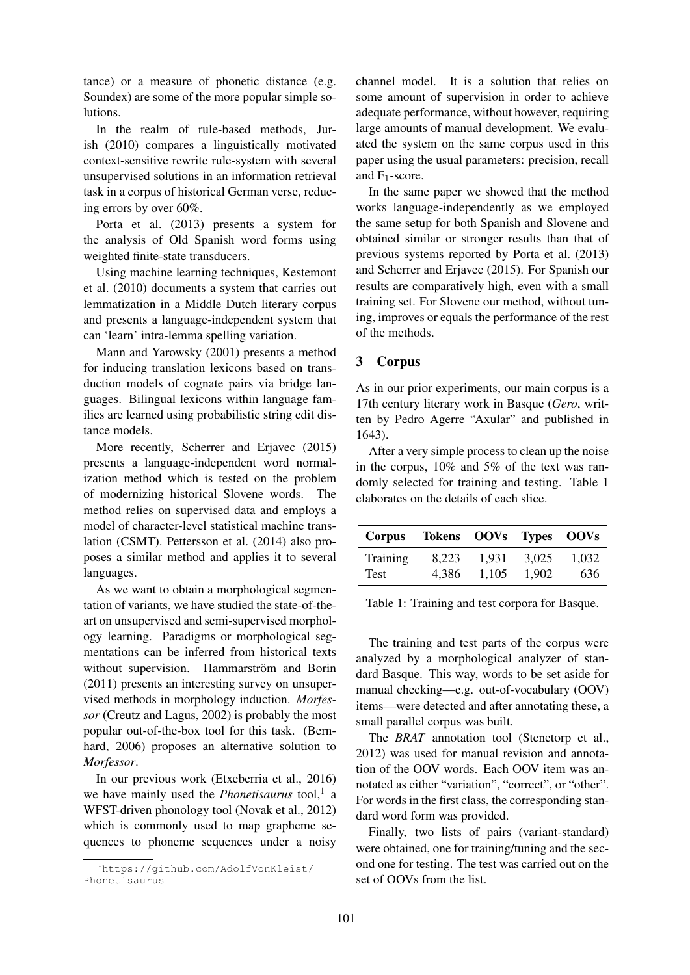tance) or a measure of phonetic distance (e.g. Soundex) are some of the more popular simple solutions.

In the realm of rule-based methods, Jurish (2010) compares a linguistically motivated context-sensitive rewrite rule-system with several unsupervised solutions in an information retrieval task in a corpus of historical German verse, reducing errors by over 60%.

Porta et al. (2013) presents a system for the analysis of Old Spanish word forms using weighted finite-state transducers.

Using machine learning techniques, Kestemont et al. (2010) documents a system that carries out lemmatization in a Middle Dutch literary corpus and presents a language-independent system that can 'learn' intra-lemma spelling variation.

Mann and Yarowsky (2001) presents a method for inducing translation lexicons based on transduction models of cognate pairs via bridge languages. Bilingual lexicons within language families are learned using probabilistic string edit distance models.

More recently, Scherrer and Erjavec (2015) presents a language-independent word normalization method which is tested on the problem of modernizing historical Slovene words. The method relies on supervised data and employs a model of character-level statistical machine translation (CSMT). Pettersson et al. (2014) also proposes a similar method and applies it to several languages.

As we want to obtain a morphological segmentation of variants, we have studied the state-of-theart on unsupervised and semi-supervised morphology learning. Paradigms or morphological segmentations can be inferred from historical texts without supervision. Hammarström and Borin (2011) presents an interesting survey on unsupervised methods in morphology induction. *Morfessor* (Creutz and Lagus, 2002) is probably the most popular out-of-the-box tool for this task. (Bernhard, 2006) proposes an alternative solution to *Morfessor*.

In our previous work (Etxeberria et al., 2016) we have mainly used the *Phonetisaurus* tool,<sup>1</sup> a WFST-driven phonology tool (Novak et al., 2012) which is commonly used to map grapheme sequences to phoneme sequences under a noisy

channel model. It is a solution that relies on some amount of supervision in order to achieve adequate performance, without however, requiring large amounts of manual development. We evaluated the system on the same corpus used in this paper using the usual parameters: precision, recall and  $F_1$ -score.

In the same paper we showed that the method works language-independently as we employed the same setup for both Spanish and Slovene and obtained similar or stronger results than that of previous systems reported by Porta et al. (2013) and Scherrer and Erjavec (2015). For Spanish our results are comparatively high, even with a small training set. For Slovene our method, without tuning, improves or equals the performance of the rest of the methods.

## 3 Corpus

As in our prior experiments, our main corpus is a 17th century literary work in Basque (*Gero*, written by Pedro Agerre "Axular" and published in 1643).

After a very simple process to clean up the noise in the corpus, 10% and 5% of the text was randomly selected for training and testing. Table 1 elaborates on the details of each slice.

| <b>Corpus</b> | Tokens OOVs Types OOVs |       |       |       |
|---------------|------------------------|-------|-------|-------|
| Training      | 8.223                  | 1.931 | 3.025 | 1.032 |
| Test          | 4.386                  | 1.105 | 1.902 | 636   |

Table 1: Training and test corpora for Basque.

The training and test parts of the corpus were analyzed by a morphological analyzer of standard Basque. This way, words to be set aside for manual checking—e.g. out-of-vocabulary (OOV) items—were detected and after annotating these, a small parallel corpus was built.

The *BRAT* annotation tool (Stenetorp et al., 2012) was used for manual revision and annotation of the OOV words. Each OOV item was annotated as either "variation", "correct", or "other". For words in the first class, the corresponding standard word form was provided.

Finally, two lists of pairs (variant-standard) were obtained, one for training/tuning and the second one for testing. The test was carried out on the set of OOVs from the list.

<sup>1</sup>https://github.com/AdolfVonKleist/ Phonetisaurus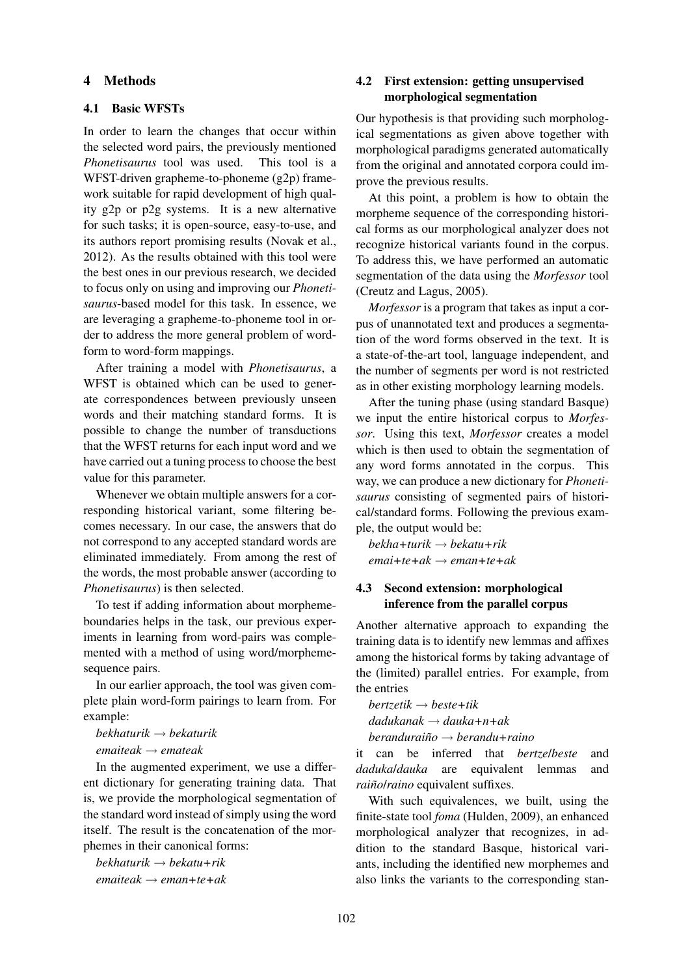#### 4 Methods

#### 4.1 Basic WFSTs

In order to learn the changes that occur within the selected word pairs, the previously mentioned *Phonetisaurus* tool was used. This tool is a WFST-driven grapheme-to-phoneme (g2p) framework suitable for rapid development of high quality g2p or p2g systems. It is a new alternative for such tasks; it is open-source, easy-to-use, and its authors report promising results (Novak et al., 2012). As the results obtained with this tool were the best ones in our previous research, we decided to focus only on using and improving our *Phonetisaurus*-based model for this task. In essence, we are leveraging a grapheme-to-phoneme tool in order to address the more general problem of wordform to word-form mappings.

After training a model with *Phonetisaurus*, a WFST is obtained which can be used to generate correspondences between previously unseen words and their matching standard forms. It is possible to change the number of transductions that the WFST returns for each input word and we have carried out a tuning process to choose the best value for this parameter.

Whenever we obtain multiple answers for a corresponding historical variant, some filtering becomes necessary. In our case, the answers that do not correspond to any accepted standard words are eliminated immediately. From among the rest of the words, the most probable answer (according to *Phonetisaurus*) is then selected.

To test if adding information about morphemeboundaries helps in the task, our previous experiments in learning from word-pairs was complemented with a method of using word/morphemesequence pairs.

In our earlier approach, the tool was given complete plain word-form pairings to learn from. For example:

*bekhaturik* → *bekaturik*

*emaiteak* → *emateak*

In the augmented experiment, we use a different dictionary for generating training data. That is, we provide the morphological segmentation of the standard word instead of simply using the word itself. The result is the concatenation of the morphemes in their canonical forms:

*bekhaturik* → *bekatu+rik emaiteak* → *eman+te+ak*

## 4.2 First extension: getting unsupervised morphological segmentation

Our hypothesis is that providing such morphological segmentations as given above together with morphological paradigms generated automatically from the original and annotated corpora could improve the previous results.

At this point, a problem is how to obtain the morpheme sequence of the corresponding historical forms as our morphological analyzer does not recognize historical variants found in the corpus. To address this, we have performed an automatic segmentation of the data using the *Morfessor* tool (Creutz and Lagus, 2005).

*Morfessor* is a program that takes as input a corpus of unannotated text and produces a segmentation of the word forms observed in the text. It is a state-of-the-art tool, language independent, and the number of segments per word is not restricted as in other existing morphology learning models.

After the tuning phase (using standard Basque) we input the entire historical corpus to *Morfessor*. Using this text, *Morfessor* creates a model which is then used to obtain the segmentation of any word forms annotated in the corpus. This way, we can produce a new dictionary for *Phonetisaurus* consisting of segmented pairs of historical/standard forms. Following the previous example, the output would be:

*bekha+turik* → *bekatu+rik emai+te+ak* → *eman+te+ak*

#### 4.3 Second extension: morphological inference from the parallel corpus

Another alternative approach to expanding the training data is to identify new lemmas and affixes among the historical forms by taking advantage of the (limited) parallel entries. For example, from the entries

 $b$ *ertzetik*  $\rightarrow$  *beste*+tik *dadukanak* → *dauka+n+ak*

*beranduraino˜* → *berandu+raino*

it can be inferred that *bertze*/*beste* and *daduka*/*dauka* are equivalent lemmas and *raiño/raino* equivalent suffixes.

With such equivalences, we built, using the finite-state tool *foma* (Hulden, 2009), an enhanced morphological analyzer that recognizes, in addition to the standard Basque, historical variants, including the identified new morphemes and also links the variants to the corresponding stan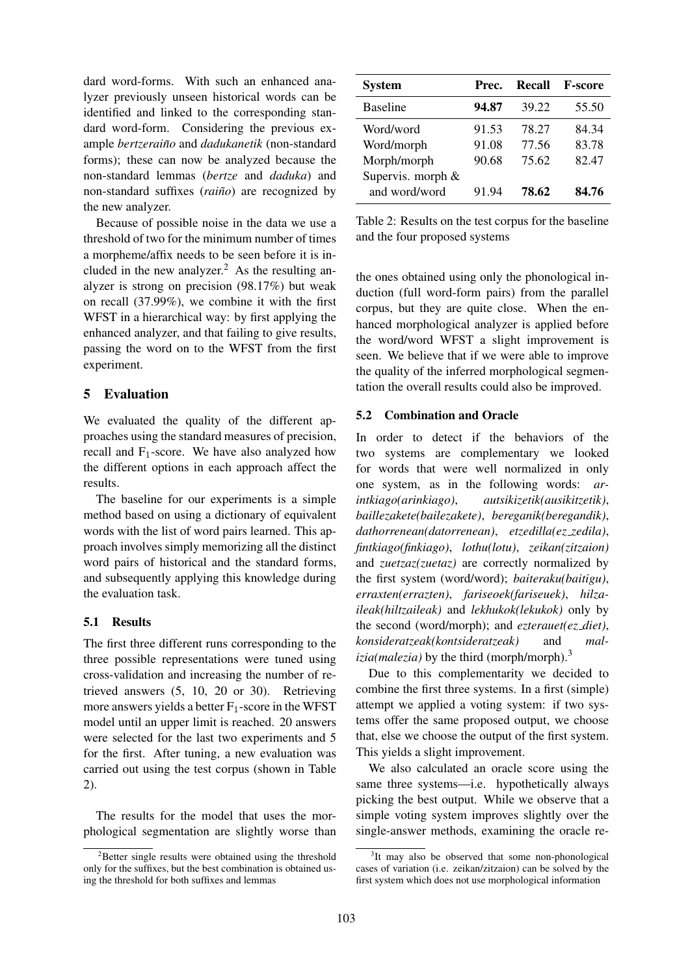dard word-forms. With such an enhanced analyzer previously unseen historical words can be identified and linked to the corresponding standard word-form. Considering the previous example *bertzeraino˜* and *dadukanetik* (non-standard forms); these can now be analyzed because the non-standard lemmas (*bertze* and *daduka*) and non-standard suffixes (*raiño*) are recognized by the new analyzer.

Because of possible noise in the data we use a threshold of two for the minimum number of times a morpheme/affix needs to be seen before it is included in the new analyzer.<sup>2</sup> As the resulting analyzer is strong on precision (98.17%) but weak on recall (37.99%), we combine it with the first WFST in a hierarchical way: by first applying the enhanced analyzer, and that failing to give results, passing the word on to the WFST from the first experiment.

## 5 Evaluation

We evaluated the quality of the different approaches using the standard measures of precision, recall and  $F_1$ -score. We have also analyzed how the different options in each approach affect the results.

The baseline for our experiments is a simple method based on using a dictionary of equivalent words with the list of word pairs learned. This approach involves simply memorizing all the distinct word pairs of historical and the standard forms, and subsequently applying this knowledge during the evaluation task.

## 5.1 Results

The first three different runs corresponding to the three possible representations were tuned using cross-validation and increasing the number of retrieved answers (5, 10, 20 or 30). Retrieving more answers yields a better  $F_1$ -score in the WFST model until an upper limit is reached. 20 answers were selected for the last two experiments and 5 for the first. After tuning, a new evaluation was carried out using the test corpus (shown in Table 2).

The results for the model that uses the morphological segmentation are slightly worse than

| <b>System</b>     | Prec. | Recall | <b>F-score</b> |
|-------------------|-------|--------|----------------|
| <b>Baseline</b>   | 94.87 | 39.22  | 55.50          |
| Word/word         | 91.53 | 78.27  | 84.34          |
| Word/morph        | 91.08 | 77.56  | 83.78          |
| Morph/morph       | 90.68 | 75.62  | 82.47          |
| Supervis. morph & |       |        |                |
| and word/word     | 91.94 | 78.62  | 84.76          |

Table 2: Results on the test corpus for the baseline and the four proposed systems

the ones obtained using only the phonological induction (full word-form pairs) from the parallel corpus, but they are quite close. When the enhanced morphological analyzer is applied before the word/word WFST a slight improvement is seen. We believe that if we were able to improve the quality of the inferred morphological segmentation the overall results could also be improved.

#### 5.2 Combination and Oracle

In order to detect if the behaviors of the two systems are complementary we looked for words that were well normalized in only one system, as in the following words: *arintkiago(arinkiago)*, *autsikizetik(ausikitzetik)*, *baillezakete(bailezakete)*, *bereganik(beregandik)*, *dathorrenean(datorrenean)*, *etzedilla(ez zedila)*, *fintkiago(finkiago)*, *lothu(lotu)*, *zeikan(zitzaion)* and *zuetzaz(zuetaz)* are correctly normalized by the first system (word/word); *baiteraku(baitigu)*, *erraxten(errazten)*, *fariseoek(fariseuek)*, *hilzaileak(hiltzaileak)* and *lekhukok(lekukok)* only by the second (word/morph); and *ezterauet(ez diet)*, *konsideratzeak(kontsideratzeak)* and *malizia(malezia)* by the third (morph/morph).<sup>3</sup>

Due to this complementarity we decided to combine the first three systems. In a first (simple) attempt we applied a voting system: if two systems offer the same proposed output, we choose that, else we choose the output of the first system. This yields a slight improvement.

We also calculated an oracle score using the same three systems—i.e. hypothetically always picking the best output. While we observe that a simple voting system improves slightly over the single-answer methods, examining the oracle re-

 $2B$ etter single results were obtained using the threshold only for the suffixes, but the best combination is obtained using the threshold for both suffixes and lemmas

<sup>&</sup>lt;sup>3</sup>It may also be observed that some non-phonological cases of variation (i.e. zeikan/zitzaion) can be solved by the first system which does not use morphological information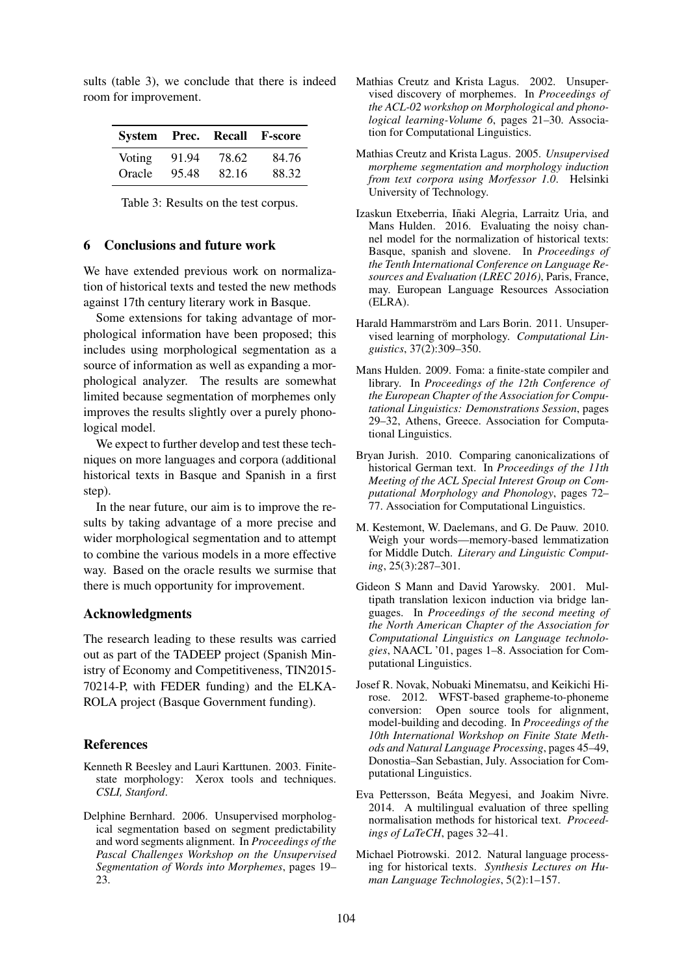|        |       |       | System Prec. Recall F-score |
|--------|-------|-------|-----------------------------|
| Voting | 91.94 | 78.62 | 84.76                       |
| Oracle | 95.48 | 82.16 | 88.32                       |

sults (table 3), we conclude that there is indeed room for improvement.

Table 3: Results on the test corpus.

#### 6 Conclusions and future work

We have extended previous work on normalization of historical texts and tested the new methods against 17th century literary work in Basque.

Some extensions for taking advantage of morphological information have been proposed; this includes using morphological segmentation as a source of information as well as expanding a morphological analyzer. The results are somewhat limited because segmentation of morphemes only improves the results slightly over a purely phonological model.

We expect to further develop and test these techniques on more languages and corpora (additional historical texts in Basque and Spanish in a first step).

In the near future, our aim is to improve the results by taking advantage of a more precise and wider morphological segmentation and to attempt to combine the various models in a more effective way. Based on the oracle results we surmise that there is much opportunity for improvement.

## Acknowledgments

The research leading to these results was carried out as part of the TADEEP project (Spanish Ministry of Economy and Competitiveness, TIN2015- 70214-P, with FEDER funding) and the ELKA-ROLA project (Basque Government funding).

## **References**

- Kenneth R Beesley and Lauri Karttunen. 2003. Finitestate morphology: Xerox tools and techniques. *CSLI, Stanford*.
- Delphine Bernhard. 2006. Unsupervised morphological segmentation based on segment predictability and word segments alignment. In *Proceedings of the Pascal Challenges Workshop on the Unsupervised Segmentation of Words into Morphemes*, pages 19– 23.
- Mathias Creutz and Krista Lagus. 2002. Unsupervised discovery of morphemes. In *Proceedings of the ACL-02 workshop on Morphological and phonological learning-Volume 6*, pages 21–30. Association for Computational Linguistics.
- Mathias Creutz and Krista Lagus. 2005. *Unsupervised morpheme segmentation and morphology induction from text corpora using Morfessor 1.0*. Helsinki University of Technology.
- Izaskun Etxeberria, Iñaki Alegria, Larraitz Uria, and Mans Hulden. 2016. Evaluating the noisy channel model for the normalization of historical texts: Basque, spanish and slovene. In *Proceedings of the Tenth International Conference on Language Resources and Evaluation (LREC 2016)*, Paris, France, may. European Language Resources Association (ELRA).
- Harald Hammarström and Lars Borin. 2011. Unsupervised learning of morphology. *Computational Linguistics*, 37(2):309–350.
- Mans Hulden. 2009. Foma: a finite-state compiler and library. In *Proceedings of the 12th Conference of the European Chapter of the Association for Computational Linguistics: Demonstrations Session*, pages 29–32, Athens, Greece. Association for Computational Linguistics.
- Bryan Jurish. 2010. Comparing canonicalizations of historical German text. In *Proceedings of the 11th Meeting of the ACL Special Interest Group on Computational Morphology and Phonology*, pages 72– 77. Association for Computational Linguistics.
- M. Kestemont, W. Daelemans, and G. De Pauw. 2010. Weigh your words—memory-based lemmatization for Middle Dutch. *Literary and Linguistic Computing*, 25(3):287–301.
- Gideon S Mann and David Yarowsky. 2001. Multipath translation lexicon induction via bridge languages. In *Proceedings of the second meeting of the North American Chapter of the Association for Computational Linguistics on Language technologies*, NAACL '01, pages 1–8. Association for Computational Linguistics.
- Josef R. Novak, Nobuaki Minematsu, and Keikichi Hirose. 2012. WFST-based grapheme-to-phoneme conversion: Open source tools for alignment, model-building and decoding. In *Proceedings of the 10th International Workshop on Finite State Methods and Natural Language Processing*, pages 45–49, Donostia–San Sebastian, July. Association for Computational Linguistics.
- Eva Pettersson, Beáta Megyesi, and Joakim Nivre. 2014. A multilingual evaluation of three spelling normalisation methods for historical text. *Proceedings of LaTeCH*, pages 32–41.
- Michael Piotrowski. 2012. Natural language processing for historical texts. *Synthesis Lectures on Human Language Technologies*, 5(2):1–157.